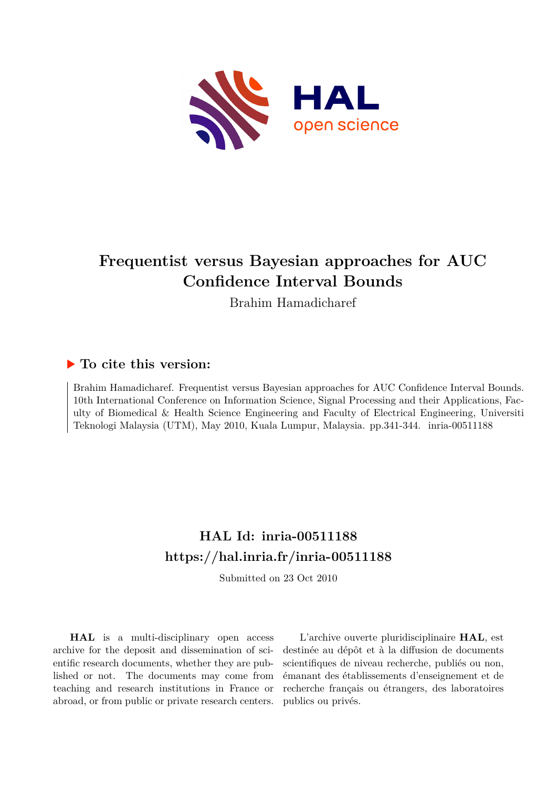

# **Frequentist versus Bayesian approaches for AUC Confidence Interval Bounds**

Brahim Hamadicharef

# **To cite this version:**

Brahim Hamadicharef. Frequentist versus Bayesian approaches for AUC Confidence Interval Bounds. 10th International Conference on Information Science, Signal Processing and their Applications, Faculty of Biomedical & Health Science Engineering and Faculty of Electrical Engineering, Universiti Teknologi Malaysia (UTM), May 2010, Kuala Lumpur, Malaysia. pp.341-344. inria-00511188

# **HAL Id: inria-00511188 <https://hal.inria.fr/inria-00511188>**

Submitted on 23 Oct 2010

**HAL** is a multi-disciplinary open access archive for the deposit and dissemination of scientific research documents, whether they are published or not. The documents may come from teaching and research institutions in France or abroad, or from public or private research centers.

L'archive ouverte pluridisciplinaire **HAL**, est destinée au dépôt et à la diffusion de documents scientifiques de niveau recherche, publiés ou non, émanant des établissements d'enseignement et de recherche français ou étrangers, des laboratoires publics ou privés.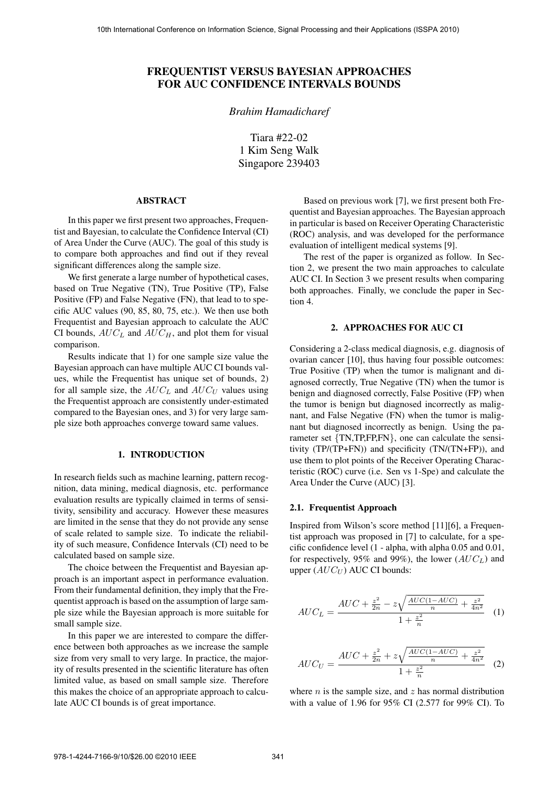# **FREQUENTIST VERSUS BAYESIAN APPROACHES FOR AUC CONFIDENCE INTERVALS BOUNDS**

*Brahim Hamadicharef*

Tiara #22-02 1 Kim Seng Walk Singapore 239403

## **ABSTRACT**

In this paper we first present two approaches, Frequentist and Bayesian, to calculate the Confidence Interval (CI) of Area Under the Curve (AUC). The goal of this study is to compare both approaches and find out if they reveal significant differences along the sample size.

We first generate a large number of hypothetical cases, based on True Negative (TN), True Positive (TP), False Positive (FP) and False Negative (FN), that lead to to specific AUC values (90, 85, 80, 75, etc.). We then use both Frequentist and Bayesian approach to calculate the AUC CI bounds,  $AUC_L$  and  $AUC_H$ , and plot them for visual comparison.

Results indicate that 1) for one sample size value the Bayesian approach can have multiple AUC CI bounds values, while the Frequentist has unique set of bounds, 2) for all sample size, the  $AUC_L$  and  $AUC_U$  values using the Frequentist approach are consistently under-estimated compared to the Bayesian ones, and 3) for very large sample size both approaches converge toward same values.

# **1. INTRODUCTION**

In research fields such as machine learning, pattern recognition, data mining, medical diagnosis, etc. performance evaluation results are typically claimed in terms of sensitivity, sensibility and accuracy. However these measures are limited in the sense that they do not provide any sense of scale related to sample size. To indicate the reliability of such measure, Confidence Intervals (CI) need to be calculated based on sample size.

The choice between the Frequentist and Bayesian approach is an important aspect in performance evaluation. From their fundamental definition, they imply that the Frequentist approach is based on the assumption of large sample size while the Bayesian approach is more suitable for small sample size.

In this paper we are interested to compare the difference between both approaches as we increase the sample size from very small to very large. In practice, the majority of results presented in the scientific literature has often limited value, as based on small sample size. Therefore this makes the choice of an appropriate approach to calculate AUC CI bounds is of great importance.

Based on previous work [7], we first present both Frequentist and Bayesian approaches. The Bayesian approach in particular is based on Receiver Operating Characteristic (ROC) analysis, and was developed for the performance evaluation of intelligent medical systems [9].

The rest of the paper is organized as follow. In Section 2, we present the two main approaches to calculate AUC CI. In Section 3 we present results when comparing both approaches. Finally, we conclude the paper in Section 4.

### **2. APPROACHES FOR AUC CI**

Considering a 2-class medical diagnosis, e.g. diagnosis of ovarian cancer [10], thus having four possible outcomes: True Positive (TP) when the tumor is malignant and diagnosed correctly, True Negative (TN) when the tumor is benign and diagnosed correctly, False Positive (FP) when the tumor is benign but diagnosed incorrectly as malignant, and False Negative (FN) when the tumor is malignant but diagnosed incorrectly as benign. Using the parameter set {TN,TP,FP,FN}, one can calculate the sensitivity (TP/(TP+FN)) and specificity (TN/(TN+FP)), and use them to plot points of the Receiver Operating Characteristic (ROC) curve (i.e. Sen vs 1-Spe) and calculate the Area Under the Curve (AUC) [3].

#### **2.1. Frequentist Approach**

Inspired from Wilson's score method [11][6], a Frequentist approach was proposed in [7] to calculate, for a specific confidence level (1 - alpha, with alpha 0.05 and 0.01, for respectively, 95% and 99%), the lower (AUC*L*) and upper ( $AUC_U$ ) AUC CI bounds:

$$
AUC_L = \frac{AUC + \frac{z^2}{2n} - z\sqrt{\frac{AUC(1 - AUC)}{n} + \frac{z^2}{4n^2}}}{1 + \frac{z^2}{n}} \tag{1}
$$

$$
AUC_U = \frac{AUC + \frac{z^2}{2n} + z\sqrt{\frac{AUC(1 - AUC)}{n} + \frac{z^2}{4n^2}}}{1 + \frac{z^2}{n}} \tag{2}
$$

where  $n$  is the sample size, and  $z$  has normal distribution with a value of 1.96 for 95% CI (2.577 for 99% CI). To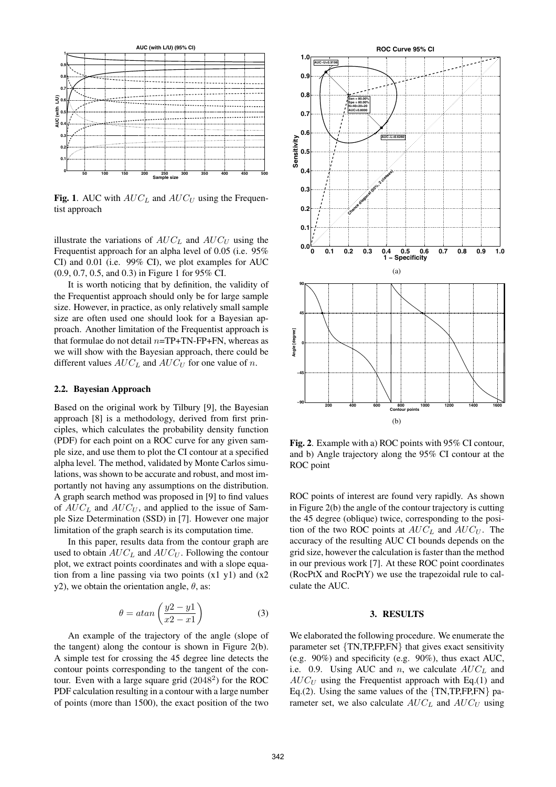

**Fig. 1**. AUC with  $AUC_L$  and  $AUC_U$  using the Frequentist approach

illustrate the variations of  $AUC_L$  and  $AUC_U$  using the Frequentist approach for an alpha level of 0.05 (i.e. 95% CI) and 0.01 (i.e. 99% CI), we plot examples for AUC (0.9, 0.7, 0.5, and 0.3) in Figure 1 for 95% CI.

It is worth noticing that by definition, the validity of the Frequentist approach should only be for large sample size. However, in practice, as only relatively small sample size are often used one should look for a Bayesian approach. Another limitation of the Frequentist approach is that formulae do not detail  $n=TP+TN-FP+FN$ , whereas as we will show with the Bayesian approach, there could be different values  $AUC_L$  and  $AUC_U$  for one value of n.

#### **2.2. Bayesian Approach**

Based on the original work by Tilbury [9], the Bayesian approach [8] is a methodology, derived from first principles, which calculates the probability density function (PDF) for each point on a ROC curve for any given sample size, and use them to plot the CI contour at a specified alpha level. The method, validated by Monte Carlos simulations, was shown to be accurate and robust, and most importantly not having any assumptions on the distribution. A graph search method was proposed in [9] to find values of AUC*<sup>L</sup>* and AUC*<sup>U</sup>* , and applied to the issue of Sample Size Determination (SSD) in [7]. However one major limitation of the graph search is its computation time.

In this paper, results data from the contour graph are used to obtain  $AUC_L$  and  $AUC_U$ . Following the contour plot, we extract points coordinates and with a slope equation from a line passing via two points  $(x1 y1)$  and  $(x2)$ y2), we obtain the orientation angle,  $\theta$ , as:

$$
\theta = \operatorname{atan}\left(\frac{y^2 - y^1}{x^2 - x^1}\right) \tag{3}
$$

An example of the trajectory of the angle (slope of the tangent) along the contour is shown in Figure 2(b). A simple test for crossing the 45 degree line detects the contour points corresponding to the tangent of the contour. Even with a large square grid  $(2048<sup>2</sup>)$  for the ROC PDF calculation resulting in a contour with a large number of points (more than 1500), the exact position of the two



**Fig. 2**. Example with a) ROC points with 95% CI contour, and b) Angle trajectory along the 95% CI contour at the ROC point

ROC points of interest are found very rapidly. As shown in Figure 2(b) the angle of the contour trajectory is cutting the 45 degree (oblique) twice, corresponding to the position of the two ROC points at  $AUC_L$  and  $AUC_U$ . The accuracy of the resulting AUC CI bounds depends on the grid size, however the calculation is faster than the method in our previous work [7]. At these ROC point coordinates (RocPtX and RocPtY) we use the trapezoidal rule to calculate the AUC.

#### **3. RESULTS**

We elaborated the following procedure. We enumerate the parameter set {TN,TP,FP,FN} that gives exact sensitivity (e.g. 90%) and specificity (e.g. 90%), thus exact AUC, i.e. 0.9. Using AUC and  $n$ , we calculate  $AUC<sub>L</sub>$  and  $AUC_U$  using the Frequentist approach with Eq.(1) and Eq.(2). Using the same values of the  $\{TN, TP, FP, FN\}$  parameter set, we also calculate  $AUC_L$  and  $AUC_U$  using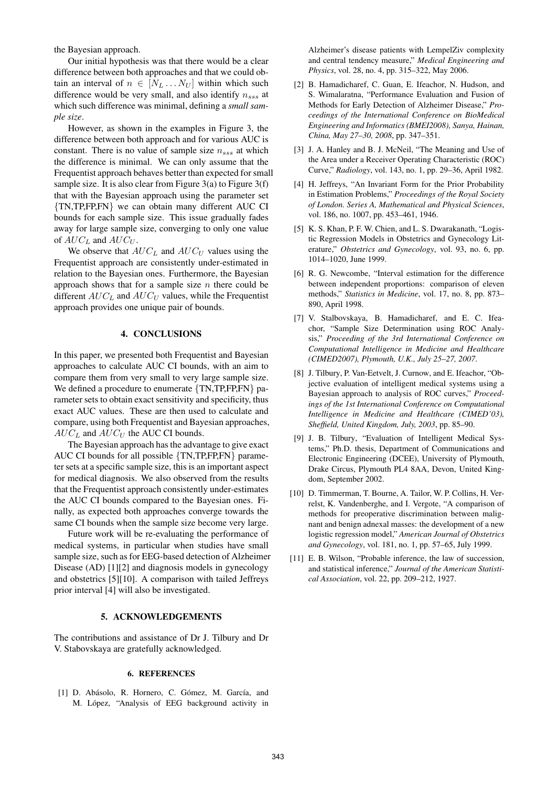the Bayesian approach.

Our initial hypothesis was that there would be a clear difference between both approaches and that we could obtain an interval of  $n \in [N_L \dots N_U]$  within which such difference would be very small, and also identify n*sss* at which such difference was minimal, defining a *small sample size*.

However, as shown in the examples in Figure 3, the difference between both approach and for various AUC is constant. There is no value of sample size n*sss* at which the difference is minimal. We can only assume that the Frequentist approach behaves better than expected for small sample size. It is also clear from Figure  $3(a)$  to Figure  $3(f)$ that with the Bayesian approach using the parameter set {TN,TP,FP,FN} we can obtain many different AUC CI bounds for each sample size. This issue gradually fades away for large sample size, converging to only one value of AUC*<sup>L</sup>* and AUC*<sup>U</sup>* .

We observe that  $AUC_L$  and  $AUC_U$  values using the Frequentist approach are consistently under-estimated in relation to the Bayesian ones. Furthermore, the Bayesian approach shows that for a sample size  $n$  there could be different AUC*<sup>L</sup>* and AUC*<sup>U</sup>* values, while the Frequentist approach provides one unique pair of bounds.

## **4. CONCLUSIONS**

In this paper, we presented both Frequentist and Bayesian approaches to calculate AUC CI bounds, with an aim to compare them from very small to very large sample size. We defined a procedure to enumerate  $\{TN, TP, FP, FN\}$  parameter sets to obtain exact sensitivity and specificity, thus exact AUC values. These are then used to calculate and compare, using both Frequentist and Bayesian approaches,  $AUC_L$  and  $AUC_U$  the AUC CI bounds.

The Bayesian approach has the advantage to give exact AUC CI bounds for all possible {TN,TP,FP,FN} parameter sets at a specific sample size, this is an important aspect for medical diagnosis. We also observed from the results that the Frequentist approach consistently under-estimates the AUC CI bounds compared to the Bayesian ones. Finally, as expected both approaches converge towards the same CI bounds when the sample size become very large.

Future work will be re-evaluating the performance of medical systems, in particular when studies have small sample size, such as for EEG-based detection of Alzheimer Disease (AD) [1][2] and diagnosis models in gynecology and obstetrics [5][10]. A comparison with tailed Jeffreys prior interval [4] will also be investigated.

### **5. ACKNOWLEDGEMENTS**

The contributions and assistance of Dr J. Tilbury and Dr V. Stabovskaya are gratefully acknowledged.

#### **6. REFERENCES**

[1] D. Abásolo, R. Hornero, C. Gómez, M. García, and M. López, "Analysis of EEG background activity in Alzheimer's disease patients with LempelZiv complexity and central tendency measure," *Medical Engineering and Physics*, vol. 28, no. 4, pp. 315–322, May 2006.

- [2] B. Hamadicharef, C. Guan, E. Ifeachor, N. Hudson, and S. Wimalaratna, "Performance Evaluation and Fusion of Methods for Early Detection of Alzheimer Disease," *Proceedings of the International Conference on BioMedical Engineering and Informatics (BMEI2008), Sanya, Hainan, China, May 27–30, 2008*, pp. 347–351.
- [3] J. A. Hanley and B. J. McNeil, "The Meaning and Use of the Area under a Receiver Operating Characteristic (ROC) Curve," *Radiology*, vol. 143, no. 1, pp. 29–36, April 1982.
- [4] H. Jeffreys, "An Invariant Form for the Prior Probability in Estimation Problems," *Proceedings of the Royal Society of London. Series A, Mathematical and Physical Sciences*, vol. 186, no. 1007, pp. 453–461, 1946.
- [5] K. S. Khan, P. F. W. Chien, and L. S. Dwarakanath, "Logistic Regression Models in Obstetrics and Gynecology Literature," *Obstetrics and Gynecology*, vol. 93, no. 6, pp. 1014–1020, June 1999.
- [6] R. G. Newcombe, "Interval estimation for the difference between independent proportions: comparison of eleven methods," *Statistics in Medicine*, vol. 17, no. 8, pp. 873– 890, April 1998.
- [7] V. Stalbovskaya, B. Hamadicharef, and E. C. Ifeachor, "Sample Size Determination using ROC Analysis," *Proceeding of the 3rd International Conference on Computational Intelligence in Medicine and Healthcare (CIMED2007), Plymouth, U.K., July 25–27, 2007*.
- [8] J. Tilbury, P. Van-Eetvelt, J. Curnow, and E. Ifeachor, "Objective evaluation of intelligent medical systems using a Bayesian approach to analysis of ROC curves," *Proceedings of the 1st International Conference on Computational Intelligence in Medicine and Healthcare (CIMED'03), Sheffield, United Kingdom, July, 2003*, pp. 85–90.
- [9] J. B. Tilbury, "Evaluation of Intelligent Medical Systems," Ph.D. thesis, Department of Communications and Electronic Engineering (DCEE), University of Plymouth, Drake Circus, Plymouth PL4 8AA, Devon, United Kingdom, September 2002.
- [10] D. Timmerman, T. Bourne, A. Tailor, W. P. Collins, H. Verrelst, K. Vandenberghe, and I. Vergote, "A comparison of methods for preoperative discrimination between malignant and benign adnexal masses: the development of a new logistic regression model," *American Journal of Obstetrics and Gynecology*, vol. 181, no. 1, pp. 57–65, July 1999.
- [11] E. B. Wilson, "Probable inference, the law of succession, and statistical inference," *Journal of the American Statistical Association*, vol. 22, pp. 209–212, 1927.